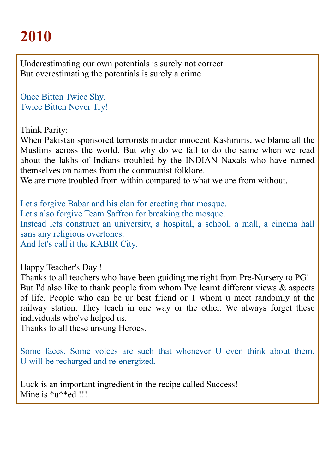Underestimating our own potentials is surely not correct. But overestimating the potentials is surely a crime.

Once Bitten Twice Shy. Twice Bitten Never Try!

Think Parity:

When Pakistan sponsored terrorists murder innocent Kashmiris, we blame all the Muslims across the world. But why do we fail to do the same when we read about the lakhs of Indians troubled by the INDIAN Naxals who have named themselves on names from the communist folklore.

We are more troubled from within compared to what we are from without.

Let's forgive Babar and his clan for erecting that mosque. Let's also forgive Team Saffron for breaking the mosque. Instead lets construct an university, a hospital, a school, a mall, a cinema hall sans any religious overtones. And let's call it the KABIR City.

Happy Teacher's Day !

Thanks to all teachers who have been guiding me right from Pre-Nursery to PG! But I'd also like to thank people from whom I've learnt different views  $\&$  aspects of life. People who can be ur best friend or 1 whom u meet randomly at the railway station. They teach in one way or the other. We always forget these individuals who've helped us.

Thanks to all these unsung Heroes.

Some faces, Some voices are such that whenever U even think about them, U will be recharged and re-energized.

Luck is an important ingredient in the recipe called Success! Mine is  $\text{*u} \cdot \text{*ed}$  !!!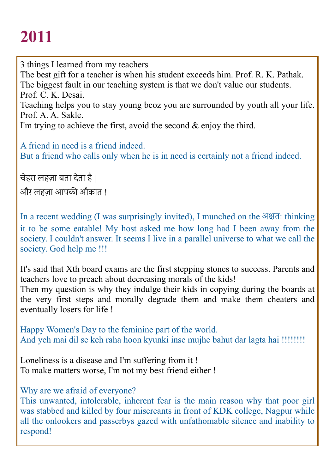3 things I learned from my teachers The best gift for a teacher is when his student exceeds him. Prof. R. K. Pathak. The biggest fault in our teaching system is that we don't value our students. Prof. C. K. Desai. Teaching helps you to stay young bcoz you are surrounded by youth all your life. Prof. A. A. Sakle.

I'm trying to achieve the first, avoid the second & enjoy the third.

A friend in need is a friend indeed. But a friend who calls only when he is in need is certainly not a friend indeed.

चेहरा लहज़ा बता देता है |

और लहज़ा आपकी औकात !

In a recent wedding (I was surprisingly invited), I munched on the अकतः thinking it to be some eatable! My host asked me how long had I been away from the society. I couldn't answer. It seems I live in a parallel universe to what we call the society. God help me !!!

It's said that Xth board exams are the first stepping stones to success. Parents and teachers love to preach about decreasing morals of the kids! Then my question is why they indulge their kids in copying during the boards at the very first steps and morally degrade them and make them cheaters and eventually losers for life !

Happy Women's Day to the feminine part of the world. And yeh mai dil se keh raha hoon kyunki inse mujhe bahut dar lagta hai !!!!!!!!

Loneliness is a disease and I'm suffering from it ! To make matters worse, I'm not my best friend either !

Why are we afraid of everyone?

This unwanted, intolerable, inherent fear is the main reason why that poor girl was stabbed and killed by four miscreants in front of KDK college, Nagpur while all the onlookers and passerbys gazed with unfathomable silence and inability to respond!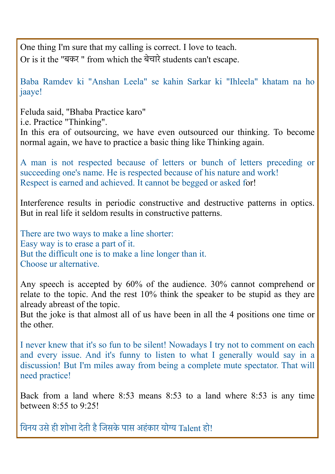One thing I'm sure that my calling is correct. I love to teach. Or is it the "बकर " from which the बेचारे students can't escape.

Baba Ramdev ki "Anshan Leela" se kahin Sarkar ki "Ihleela" khatam na ho jaaye!

Feluda said, "Bhaba Practice karo"

i.e. Practice "Thinking".

In this era of outsourcing, we have even outsourced our thinking. To become normal again, we have to practice a basic thing like Thinking again.

A man is not respected because of letters or bunch of letters preceding or succeeding one's name. He is respected because of his nature and work! Respect is earned and achieved. It cannot be begged or asked for!

Interference results in periodic constructive and destructive patterns in optics. But in real life it seldom results in constructive patterns.

There are two ways to make a line shorter: Easy way is to erase a part of it. But the difficult one is to make a line longer than it. Choose ur alternative.

Any speech is accepted by 60% of the audience. 30% cannot comprehend or relate to the topic. And the rest 10% think the speaker to be stupid as they are already abreast of the topic.

But the joke is that almost all of us have been in all the 4 positions one time or the other.

I never knew that it's so fun to be silent! Nowadays I try not to comment on each and every issue. And it's funny to listen to what I generally would say in a discussion! But I'm miles away from being a complete mute spectator. That will need practice!

Back from a land where 8:53 means 8:53 to a land where 8:53 is any time between  $8.55$  to  $9.251$ 

विनय उसे ही शोभा देती है जिसके पास अहंकार योग्य Talent हो!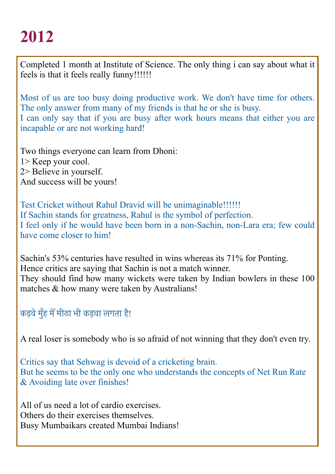Completed 1 month at Institute of Science. The only thing i can say about what it feels is that it feels really funny!!!!!!

Most of us are too busy doing productive work. We don't have time for others. The only answer from many of my friends is that he or she is busy. I can only say that if you are busy after work hours means that either you are incapable or are not working hard!

Two things everyone can learn from Dhoni: 1> Keep your cool. 2> Believe in yourself.

And success will be yours!

Test Cricket without Rahul Dravid will be unimaginable!!!!!! If Sachin stands for greatness, Rahul is the symbol of perfection. I feel only if he would have been born in a non-Sachin, non-Lara era; few could have come closer to him!

Sachin's 53% centuries have resulted in wins whereas its 71% for Ponting. Hence critics are saying that Sachin is not a match winner. They should find how many wickets were taken by Indian bowlers in these 100 matches & how many were taken by Australians!

कड़वे मुँह में मीठा भी कड़वा लगता है!

A real loser is somebody who is so afraid of not winning that they don't even try.

Critics say that Sehwag is devoid of a cricketing brain. But he seems to be the only one who understands the concepts of Net Run Rate & Avoiding late over finishes!

All of us need a lot of cardio exercises. Others do their exercises themselves. Busy Mumbaikars created Mumbai Indians!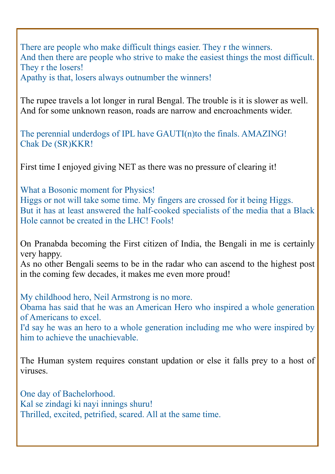There are people who make difficult things easier. They r the winners. And then there are people who strive to make the easiest things the most difficult. They r the losers!

Apathy is that, losers always outnumber the winners!

The rupee travels a lot longer in rural Bengal. The trouble is it is slower as well. And for some unknown reason, roads are narrow and encroachments wider.

The perennial underdogs of IPL have GAUTI(n)to the finals. AMAZING! Chak De (SR)KKR!

First time I enjoyed giving NET as there was no pressure of clearing it!

What a Bosonic moment for Physics! Higgs or not will take some time. My fingers are crossed for it being Higgs. But it has at least answered the half-cooked specialists of the media that a Black Hole cannot be created in the LHC! Fools!

On Pranabda becoming the First citizen of India, the Bengali in me is certainly very happy.

As no other Bengali seems to be in the radar who can ascend to the highest post in the coming few decades, it makes me even more proud!

My childhood hero, Neil Armstrong is no more.

Obama has said that he was an American Hero who inspired a whole generation of Americans to excel.

I'd say he was an hero to a whole generation including me who were inspired by him to achieve the unachievable.

The Human system requires constant updation or else it falls prey to a host of viruses.

One day of Bachelorhood. Kal se zindagi ki nayi innings shuru! Thrilled, excited, petrified, scared. All at the same time.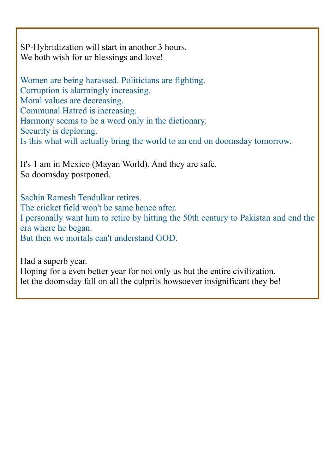SP-Hybridization will start in another 3 hours. We both wish for ur blessings and love!

Women are being harassed. Politicians are fighting. Corruption is alarmingly increasing. Moral values are decreasing. Communal Hatred is increasing. Harmony seems to be a word only in the dictionary. Security is deploring. Is this what will actually bring the world to an end on doomsday tomorrow.

It's 1 am in Mexico (Mayan World). And they are safe. So doomsday postponed.

Sachin Ramesh Tendulkar retires. The cricket field won't be same hence after. I personally want him to retire by hitting the 50th century to Pakistan and end the era where he began. But then we mortals can't understand GOD.

Had a superb year.

Hoping for a even better year for not only us but the entire civilization. let the doomsday fall on all the culprits howsoever insignificant they be!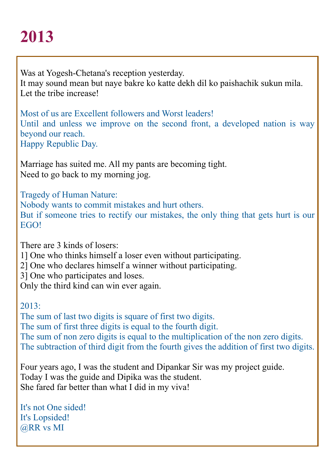Was at Yogesh-Chetana's reception yesterday. It may sound mean but naye bakre ko katte dekh dil ko paishachik sukun mila. Let the tribe increase!

Most of us are Excellent followers and Worst leaders! Until and unless we improve on the second front, a developed nation is way beyond our reach. Happy Republic Day.

Marriage has suited me. All my pants are becoming tight. Need to go back to my morning jog.

Tragedy of Human Nature: Nobody wants to commit mistakes and hurt others. But if someone tries to rectify our mistakes, the only thing that gets hurt is our **EGO!** 

There are 3 kinds of losers:

1] One who thinks himself a loser even without participating.

2] One who declares himself a winner without participating.

3] One who participates and loses.

Only the third kind can win ever again.

 $2013$ 

The sum of last two digits is square of first two digits. The sum of first three digits is equal to the fourth digit. The sum of non zero digits is equal to the multiplication of the non zero digits. The subtraction of third digit from the fourth gives the addition of first two digits.

Four years ago, I was the student and Dipankar Sir was my project guide. Today I was the guide and Dipika was the student. She fared far better than what I did in my viva!

It's not One sided! It's Lopsided! @RR vs MI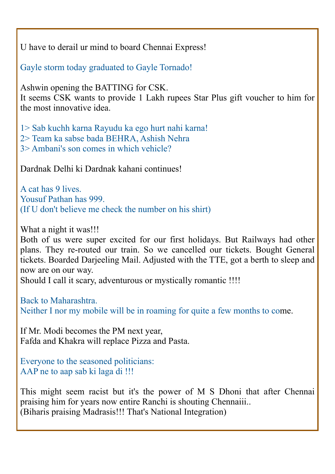U have to derail ur mind to board Chennai Express!

Gayle storm today graduated to Gayle Tornado!

Ashwin opening the BATTING for CSK.

It seems CSK wants to provide 1 Lakh rupees Star Plus gift voucher to him for the most innovative idea.

1> Sab kuchh karna Rayudu ka ego hurt nahi karna!

2> Team ka sabse bada BEHRA, Ashish Nehra

3> Ambani's son comes in which vehicle?

Dardnak Delhi ki Dardnak kahani continues!

A cat has 9 lives. Yousuf Pathan has 999. (If U don't believe me check the number on his shirt)

What a night it was!!!

Both of us were super excited for our first holidays. But Railways had other plans. They re-routed our train. So we cancelled our tickets. Bought General tickets. Boarded Darjeeling Mail. Adjusted with the TTE, got a berth to sleep and now are on our way.

Should I call it scary, adventurous or mystically romantic !!!!

Back to Maharashtra. Neither I nor my mobile will be in roaming for quite a few months to come.

If Mr. Modi becomes the PM next year, Fafda and Khakra will replace Pizza and Pasta.

Everyone to the seasoned politicians: AAP ne to aap sab ki laga di !!!

This might seem racist but it's the power of M S Dhoni that after Chennai praising him for years now entire Ranchi is shouting Chennaiii.. (Biharis praising Madrasis!!! That's National Integration)